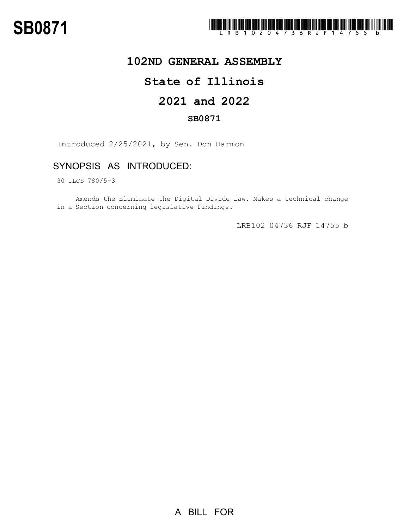

## **102ND GENERAL ASSEMBLY**

# **State of Illinois**

# **2021 and 2022**

### **SB0871**

Introduced 2/25/2021, by Sen. Don Harmon

## SYNOPSIS AS INTRODUCED:

30 ILCS 780/5-3

Amends the Eliminate the Digital Divide Law. Makes a technical change in a Section concerning legislative findings.

LRB102 04736 RJF 14755 b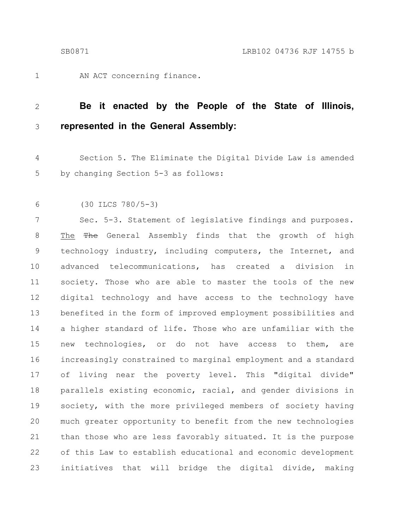AN ACT concerning finance. 1

#### **Be it enacted by the People of the State of Illinois, represented in the General Assembly:** 2 3

Section 5. The Eliminate the Digital Divide Law is amended by changing Section 5-3 as follows: 4 5

(30 ILCS 780/5-3) 6

Sec. 5-3. Statement of legislative findings and purposes. The The General Assembly finds that the growth of high technology industry, including computers, the Internet, and advanced telecommunications, has created a division in society. Those who are able to master the tools of the new digital technology and have access to the technology have benefited in the form of improved employment possibilities and a higher standard of life. Those who are unfamiliar with the new technologies, or do not have access to them, are increasingly constrained to marginal employment and a standard of living near the poverty level. This "digital divide" parallels existing economic, racial, and gender divisions in society, with the more privileged members of society having much greater opportunity to benefit from the new technologies than those who are less favorably situated. It is the purpose of this Law to establish educational and economic development initiatives that will bridge the digital divide, making 7 8 9 10 11 12 13 14 15 16 17 18 19 20 21 22 23